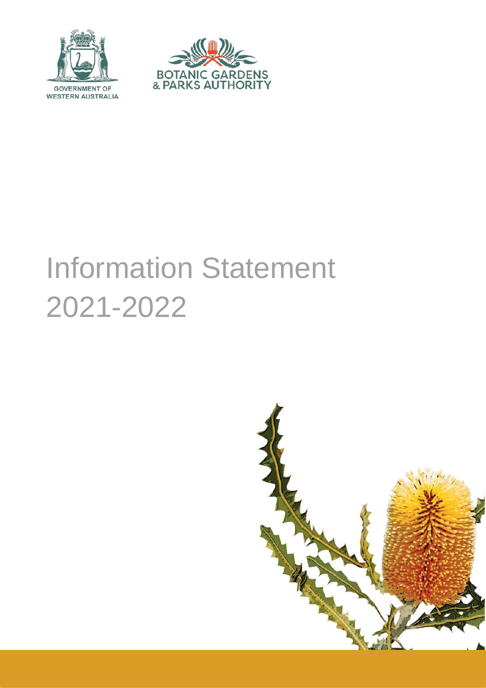



# Information Statement 2021-2022

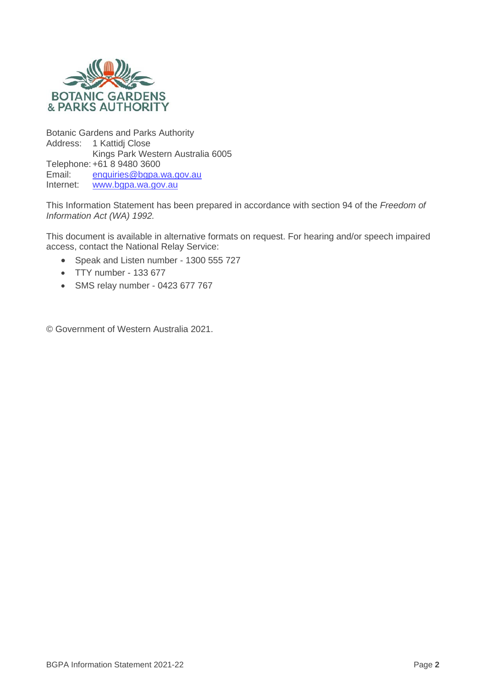

Botanic Gardens and Parks Authority Address: 1 Kattidj Close Kings Park Western Australia 6005 Telephone: +61 8 9480 3600<br>Email: enquiries@bqpa. Email: [enquiries@bgpa.wa.gov.au](mailto:enquiries@bgpa.wa.gov.au)<br>Internet: www.bgpa.wa.gov.au [www.bgpa.wa.gov.au](http://www.bgpa.wa.gov.au/)

This Information Statement has been prepared in accordance with section 94 of the *Freedom of Information Act (WA) 1992.*

This document is available in alternative formats on request. For hearing and/or speech impaired access, contact the National Relay Service:

- Speak and Listen number 1300 555 727
- TTY number 133 677
- SMS relay number 0423 677 767

© Government of Western Australia 2021.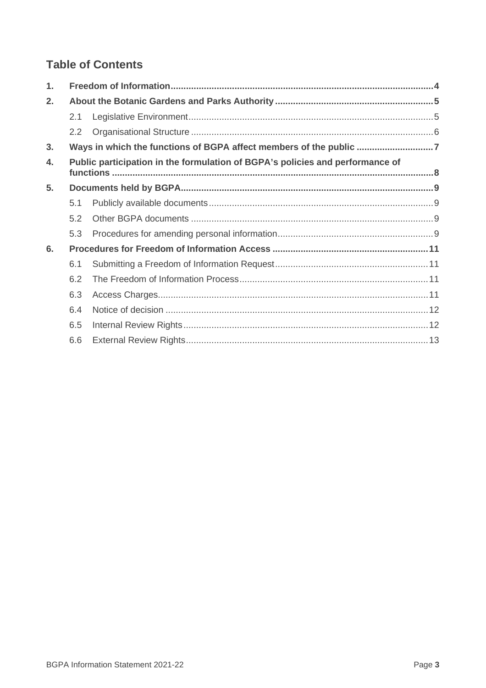## **Table of Contents**

| $\mathbf{1}$ . |                                                                               |                                                                    |
|----------------|-------------------------------------------------------------------------------|--------------------------------------------------------------------|
| 2.             |                                                                               |                                                                    |
|                | 2.1                                                                           |                                                                    |
|                | 2.2                                                                           |                                                                    |
| 3.             |                                                                               | Ways in which the functions of BGPA affect members of the public 7 |
| $\mathbf{4}$ . | Public participation in the formulation of BGPA's policies and performance of |                                                                    |
| 5.             |                                                                               |                                                                    |
|                | 5.1                                                                           |                                                                    |
|                | 5.2                                                                           |                                                                    |
|                | 5.3                                                                           |                                                                    |
| 6.             |                                                                               |                                                                    |
|                | 6.1                                                                           |                                                                    |
|                | 6.2                                                                           |                                                                    |
|                | 6.3                                                                           |                                                                    |
|                | 6.4                                                                           |                                                                    |
|                | 6.5                                                                           |                                                                    |
|                | 6.6                                                                           |                                                                    |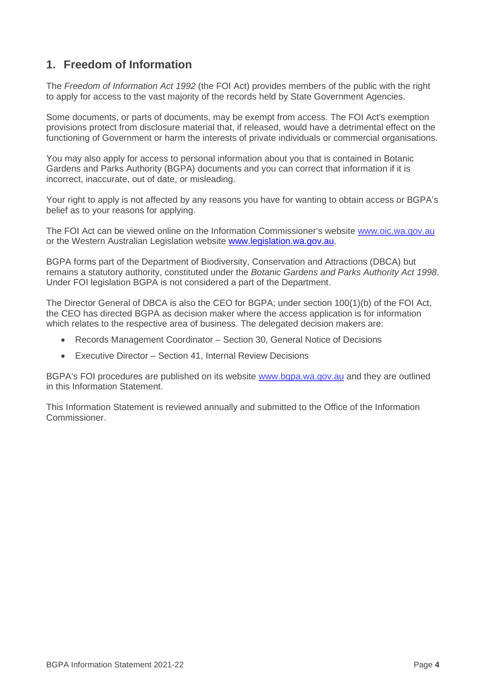## <span id="page-3-0"></span>**1. Freedom of Information**

The *Freedom of Information Act 1992* (the FOI Act) provides members of the public with the right to apply for access to the vast majority of the records held by State Government Agencies.

Some documents, or parts of documents, may be exempt from access. The FOI Act's exemption provisions protect from disclosure material that, if released, would have a detrimental effect on the functioning of Government or harm the interests of private individuals or commercial organisations.

You may also apply for access to personal information about you that is contained in Botanic Gardens and Parks Authority (BGPA) documents and you can correct that information if it is incorrect, inaccurate, out of date, or misleading.

Your right to apply is not affected by any reasons you have for wanting to obtain access or BGPA's belief as to your reasons for applying.

The FOI Act can be viewed online on the Information Commissioner's website [www.oic.wa.gov.au](http://www.oic.wa.gov.au/) or the Western Australian Legislation website [www.legislation.wa.gov.au.](http://www.legislation.wa.gov.au/)

BGPA forms part of the Department of Biodiversity, Conservation and Attractions (DBCA) but remains a statutory authority, constituted under the *Botanic Gardens and Parks Authority Act 1998*. Under FOI legislation BGPA is not considered a part of the Department.

The Director General of DBCA is also the CEO for BGPA; under section 100(1)(b) of the FOI Act, the CEO has directed BGPA as decision maker where the access application is for information which relates to the respective area of business. The delegated decision makers are:

- Records Management Coordinator Section 30, General Notice of Decisions
- Executive Director Section 41, Internal Review Decisions

BGPA's FOI procedures are published on its website [www.bgpa.wa.gov.au](http://www.bgpa.wa.gov.au/) and they are outlined in this Information Statement.

This Information Statement is reviewed annually and submitted to the Office of the Information Commissioner.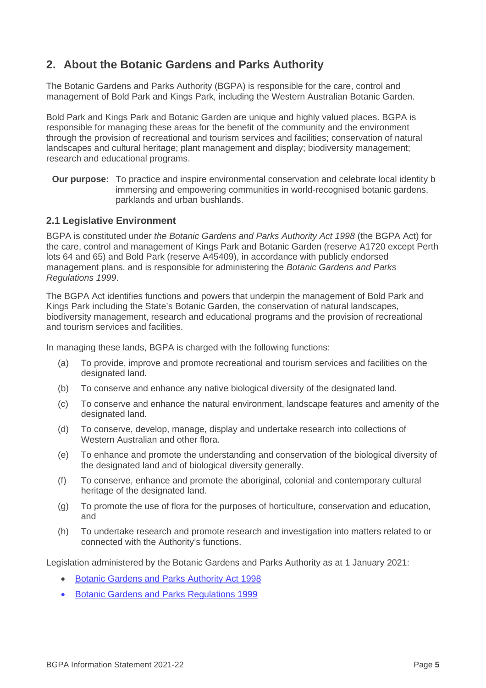## <span id="page-4-0"></span>**2. About the Botanic Gardens and Parks Authority**

The Botanic Gardens and Parks Authority (BGPA) is responsible for the care, control and management of Bold Park and Kings Park, including the Western Australian Botanic Garden.

Bold Park and Kings Park and Botanic Garden are unique and highly valued places. BGPA is responsible for managing these areas for the benefit of the community and the environment through the provision of recreational and tourism services and facilities; conservation of natural landscapes and cultural heritage; plant management and display; biodiversity management; research and educational programs.

**Our purpose:** To practice and inspire environmental conservation and celebrate local identity b immersing and empowering communities in world-recognised botanic gardens, parklands and urban bushlands.

#### <span id="page-4-1"></span>**2.1 Legislative Environment**

BGPA is constituted under *the Botanic Gardens and Parks Authority Act 1998* (the BGPA Act) for the care, control and management of Kings Park and Botanic Garden (reserve A1720 except Perth lots 64 and 65) and Bold Park (reserve A45409), in accordance with publicly endorsed management plans. and is responsible for administering the *Botanic Gardens and Parks Regulations 1999*.

The BGPA Act identifies functions and powers that underpin the management of Bold Park and Kings Park including the State's Botanic Garden, the conservation of natural landscapes, biodiversity management, research and educational programs and the provision of recreational and tourism services and facilities.

In managing these lands, BGPA is charged with the following functions:

- (a) To provide, improve and promote recreational and tourism services and facilities on the designated land.
- (b) To conserve and enhance any native biological diversity of the designated land.
- (c) To conserve and enhance the natural environment, landscape features and amenity of the designated land.
- (d) To conserve, develop, manage, display and undertake research into collections of Western Australian and other flora.
- (e) To enhance and promote the understanding and conservation of the biological diversity of the designated land and of biological diversity generally.
- (f) To conserve, enhance and promote the aboriginal, colonial and contemporary cultural heritage of the designated land.
- (g) To promote the use of flora for the purposes of horticulture, conservation and education, and
- (h) To undertake research and promote research and investigation into matters related to or connected with the Authority's functions.

Legislation administered by the Botanic Gardens and Parks Authority as at 1 January 2021:

- [Botanic Gardens and Parks Authority Act 1998](https://www.legislation.wa.gov.au/legislation/statutes.nsf/main_mrtitle_89_homepage.html)
- [Botanic Gardens and Parks Regulations 1999](https://www.legislation.wa.gov.au/legislation/statutes.nsf/law_s1062_currencies.html)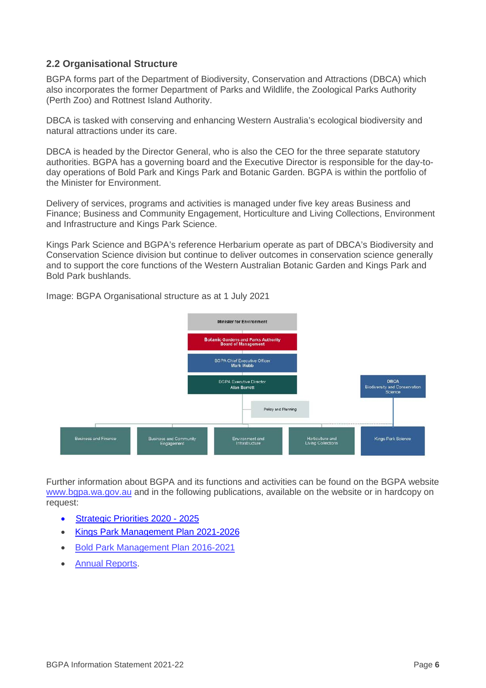#### <span id="page-5-0"></span>**2.2 Organisational Structure**

BGPA forms part of the Department of Biodiversity, Conservation and Attractions (DBCA) which also incorporates the former Department of Parks and Wildlife, the Zoological Parks Authority (Perth Zoo) and Rottnest Island Authority.

DBCA is tasked with conserving and enhancing Western Australia's ecological biodiversity and natural attractions under its care.

DBCA is headed by the Director General, who is also the CEO for the three separate statutory authorities. BGPA has a governing board and the Executive Director is responsible for the day-today operations of Bold Park and Kings Park and Botanic Garden. BGPA is within the portfolio of the Minister for Environment.

Delivery of services, programs and activities is managed under five key areas Business and Finance; Business and Community Engagement, Horticulture and Living Collections, Environment and Infrastructure and Kings Park Science.

Kings Park Science and BGPA's reference Herbarium operate as part of DBCA's Biodiversity and Conservation Science division but continue to deliver outcomes in conservation science generally and to support the core functions of the Western Australian Botanic Garden and Kings Park and Bold Park bushlands.



Image: BGPA Organisational structure as at 1 July 2021

Further information about BGPA and its functions and activities can be found on the BGPA website [www.bgpa.wa.gov.au](http://www.bgpa.wa.gov.au/) and in the following publications, available on the website or in hardcopy on request:

- [Strategic Priorities 2020 -](https://www.dbca.wa.gov.au/publications/bgpa-strategic-priorities-2020-2025) 2025
- [Kings Park Management Plan 2021-2026](https://www.bgpa.wa.gov.au/about-us/information/management/plans-and-policies/1147-kings-park-management-plan)
- [Bold Park Management Plan 2016-2021](https://www.dbca.wa.gov.au/publications/bold-park-management-plan-2016-21)
- [Annual Reports.](https://www.dbca.wa.gov.au/bgpa-annual-report-archive)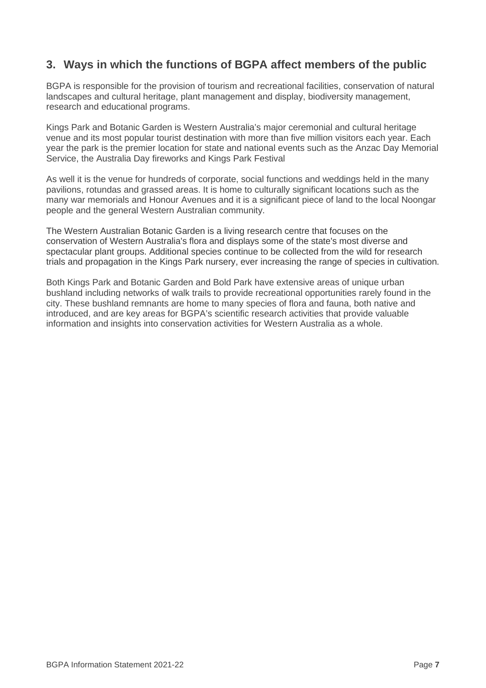## <span id="page-6-0"></span>**3. Ways in which the functions of BGPA affect members of the public**

BGPA is responsible for the provision of tourism and recreational facilities, conservation of natural landscapes and cultural heritage, plant management and display, biodiversity management, research and educational programs.

Kings Park and Botanic Garden is Western Australia's major ceremonial and cultural heritage venue and its most popular tourist destination with more than five million visitors each year. Each year the park is the premier location for state and national events such as the Anzac Day Memorial Service, the Australia Day fireworks and Kings Park Festival

As well it is the venue for hundreds of corporate, social functions and weddings held in the many pavilions, rotundas and grassed areas. It is home to culturally significant locations such as the many war memorials and Honour Avenues and it is a significant piece of land to the local Noongar people and the general Western Australian community.

The Western Australian Botanic Garden is a living research centre that focuses on the conservation of Western Australia's flora and displays some of the state's most diverse and spectacular plant groups. Additional species continue to be collected from the wild for research trials and propagation in the Kings Park nursery, ever increasing the range of species in cultivation.

Both Kings Park and Botanic Garden and Bold Park have extensive areas of unique urban bushland including networks of walk trails to provide recreational opportunities rarely found in the city. These bushland remnants are home to many species of flora and fauna, both native and introduced, and are key areas for BGPA's scientific research activities that provide valuable information and insights into conservation activities for Western Australia as a whole.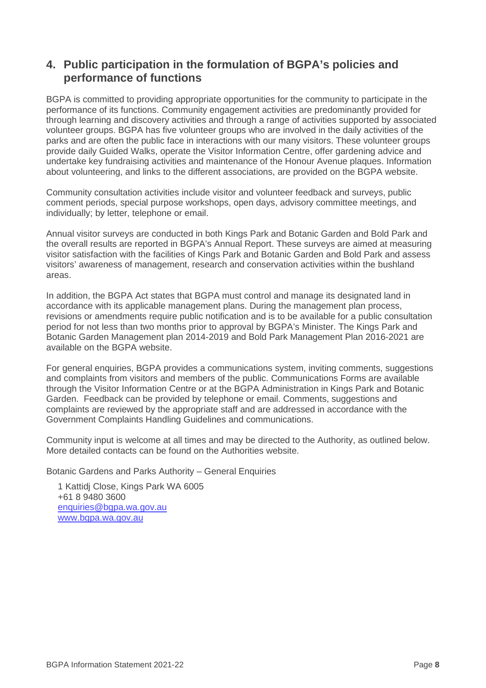### <span id="page-7-0"></span>**4. Public participation in the formulation of BGPA's policies and performance of functions**

BGPA is committed to providing appropriate opportunities for the community to participate in the performance of its functions. Community engagement activities are predominantly provided for through learning and discovery activities and through a range of activities supported by associated volunteer groups. BGPA has five volunteer groups who are involved in the daily activities of the parks and are often the public face in interactions with our many visitors. These volunteer groups provide daily Guided Walks, operate the Visitor Information Centre, offer gardening advice and undertake key fundraising activities and maintenance of the Honour Avenue plaques. Information about volunteering, and links to the different associations, are provided on the BGPA website.

Community consultation activities include visitor and volunteer feedback and surveys, public comment periods, special purpose workshops, open days, advisory committee meetings, and individually; by letter, telephone or email.

Annual visitor surveys are conducted in both Kings Park and Botanic Garden and Bold Park and the overall results are reported in BGPA's Annual Report. These surveys are aimed at measuring visitor satisfaction with the facilities of Kings Park and Botanic Garden and Bold Park and assess visitors' awareness of management, research and conservation activities within the bushland areas.

In addition, the BGPA Act states that BGPA must control and manage its designated land in accordance with its applicable management plans. During the management plan process, revisions or amendments require public notification and is to be available for a public consultation period for not less than two months prior to approval by BGPA's Minister. The Kings Park and Botanic Garden Management plan 2014-2019 and Bold Park Management Plan 2016-2021 are available on the BGPA website.

For general enquiries, BGPA provides a communications system, inviting comments, suggestions and complaints from visitors and members of the public. Communications Forms are available through the Visitor Information Centre or at the BGPA Administration in Kings Park and Botanic Garden. Feedback can be provided by telephone or email. Comments, suggestions and complaints are reviewed by the appropriate staff and are addressed in accordance with the Government Complaints Handling Guidelines and communications.

Community input is welcome at all times and may be directed to the Authority, as outlined below. More detailed contacts can be found on the Authorities website.

Botanic Gardens and Parks Authority – General Enquiries

1 Kattidj Close, Kings Park WA 6005 +61 8 9480 3600 [enquiries@bgpa.wa.gov.au](mailto:enquiries@bgpa.wa.gov.au) [www.bgpa.wa.gov.au](http://www.bgpa.wa.gov.au/)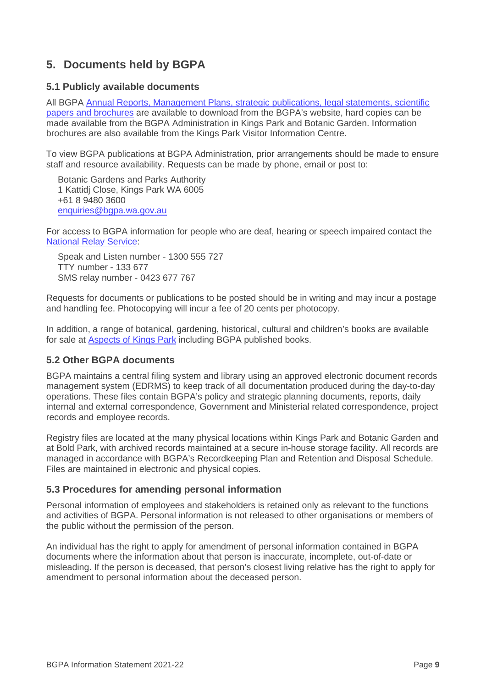## <span id="page-8-0"></span>**5. Documents held by BGPA**

#### <span id="page-8-1"></span>**5.1 Publicly available documents**

All BGPA Annual Reports, Management Plans, strategic publications, legal statements, scientific [papers and brochures](https://www.bgpa.wa.gov.au/about-us/information/publications-and-resources) are available to download from the BGPA's website, hard copies can be made available from the BGPA Administration in Kings Park and Botanic Garden. Information brochures are also available from the Kings Park Visitor Information Centre.

To view BGPA publications at BGPA Administration, prior arrangements should be made to ensure staff and resource availability. Requests can be made by phone, email or post to:

Botanic Gardens and Parks Authority 1 Kattidj Close, Kings Park WA 6005 +61 8 9480 3600 [enquiries@bgpa.wa.gov.au](mailto:enquiries@bgpa.wa.gov.au)

For access to BGPA information for people who are deaf, hearing or speech impaired contact the [National Relay Service:](https://www.communications.gov.au/what-we-do/phone/services-people-disability/accesshub/national-relay-service)

Speak and Listen number - 1300 555 727 TTY number - 133 677 SMS relay number - 0423 677 767

Requests for documents or publications to be posted should be in writing and may incur a postage and handling fee. Photocopying will incur a fee of 20 cents per photocopy.

In addition, a range of botanical, gardening, historical, cultural and children's books are available for sale at **Aspects of Kings Park** including BGPA published books.

#### <span id="page-8-2"></span>**5.2 Other BGPA documents**

BGPA maintains a central filing system and library using an approved electronic document records management system (EDRMS) to keep track of all documentation produced during the day-to-day operations. These files contain BGPA's policy and strategic planning documents, reports, daily internal and external correspondence, Government and Ministerial related correspondence, project records and employee records.

Registry files are located at the many physical locations within Kings Park and Botanic Garden and at Bold Park, with archived records maintained at a secure in-house storage facility. All records are managed in accordance with BGPA's Recordkeeping Plan and Retention and Disposal Schedule. Files are maintained in electronic and physical copies.

#### <span id="page-8-3"></span>**5.3 Procedures for amending personal information**

Personal information of employees and stakeholders is retained only as relevant to the functions and activities of BGPA. Personal information is not released to other organisations or members of the public without the permission of the person.

An individual has the right to apply for amendment of personal information contained in BGPA documents where the information about that person is inaccurate, incomplete, out-of-date or misleading. If the person is deceased, that person's closest living relative has the right to apply for amendment to personal information about the deceased person.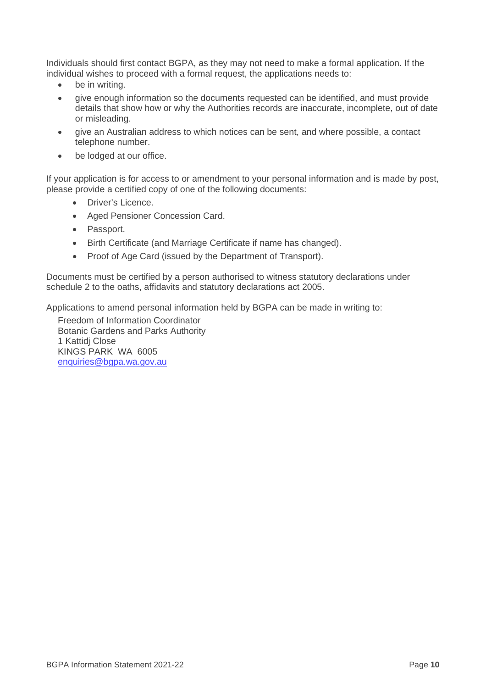Individuals should first contact BGPA, as they may not need to make a formal application. If the individual wishes to proceed with a formal request, the applications needs to:

- be in writing.
- give enough information so the documents requested can be identified, and must provide details that show how or why the Authorities records are inaccurate, incomplete, out of date or misleading.
- give an Australian address to which notices can be sent, and where possible, a contact telephone number.
- be lodged at our office.

If your application is for access to or amendment to your personal information and is made by post, please provide a certified copy of one of the following documents:

- Driver's Licence.
- Aged Pensioner Concession Card.
- Passport.
- Birth Certificate (and Marriage Certificate if name has changed).
- Proof of Age Card (issued by the Department of Transport).

Documents must be certified by a person authorised to witness statutory declarations under schedule 2 to the oaths, affidavits and statutory declarations act 2005.

Applications to amend personal information held by BGPA can be made in writing to:

Freedom of Information Coordinator Botanic Gardens and Parks Authority 1 Kattidj Close KINGS PARK WA 6005 [enquiries@bgpa.wa.gov.au](mailto:enquiries@bgpa.wa.gov.au)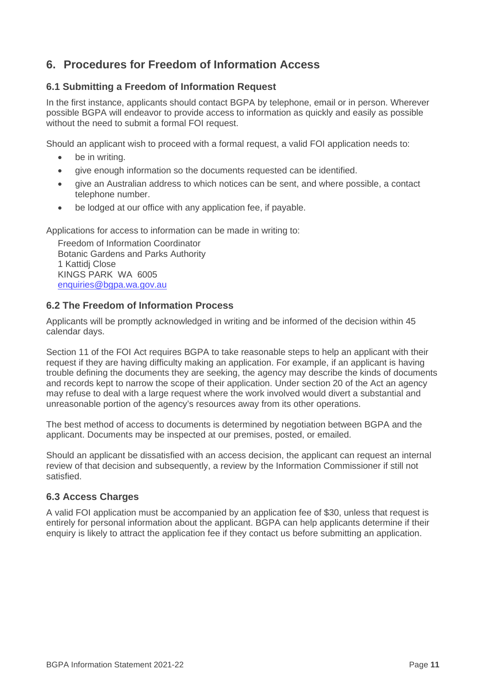## <span id="page-10-0"></span>**6. Procedures for Freedom of Information Access**

#### <span id="page-10-1"></span>**6.1 Submitting a Freedom of Information Request**

In the first instance, applicants should contact BGPA by telephone, email or in person. Wherever possible BGPA will endeavor to provide access to information as quickly and easily as possible without the need to submit a formal FOI request.

Should an applicant wish to proceed with a formal request, a valid FOI application needs to:

- be in writing.
- give enough information so the documents requested can be identified.
- give an Australian address to which notices can be sent, and where possible, a contact telephone number.
- be lodged at our office with any application fee, if payable.

Applications for access to information can be made in writing to:

Freedom of Information Coordinator Botanic Gardens and Parks Authority 1 Kattidj Close KINGS PARK WA 6005 [enquiries@bgpa.wa.gov.au](mailto:enquiries@bgpa.wa.gov.au)

#### <span id="page-10-2"></span>**6.2 The Freedom of Information Process**

Applicants will be promptly acknowledged in writing and be informed of the decision within 45 calendar days.

Section 11 of the FOI Act requires BGPA to take reasonable steps to help an applicant with their request if they are having difficulty making an application. For example, if an applicant is having trouble defining the documents they are seeking, the agency may describe the kinds of documents and records kept to narrow the scope of their application. Under section 20 of the Act an agency may refuse to deal with a large request where the work involved would divert a substantial and unreasonable portion of the agency's resources away from its other operations.

The best method of access to documents is determined by negotiation between BGPA and the applicant. Documents may be inspected at our premises, posted, or emailed.

Should an applicant be dissatisfied with an access decision, the applicant can request an internal review of that decision and subsequently, a review by the Information Commissioner if still not satisfied.

#### <span id="page-10-3"></span>**6.3 Access Charges**

A valid FOI application must be accompanied by an application fee of \$30, unless that request is entirely for personal information about the applicant. BGPA can help applicants determine if their enquiry is likely to attract the application fee if they contact us before submitting an application.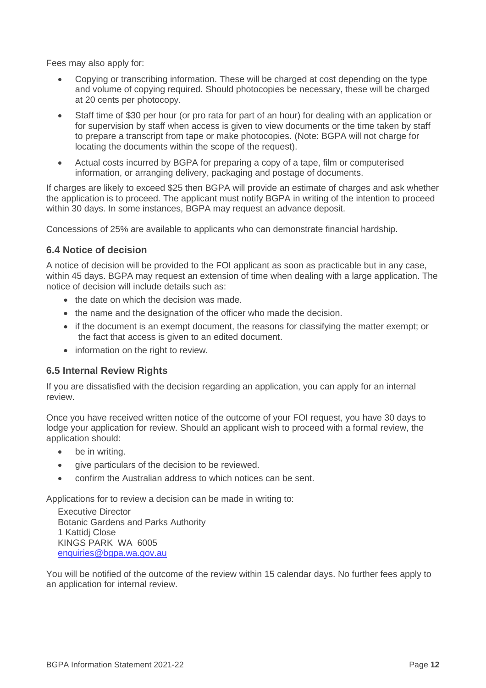Fees may also apply for:

- Copying or transcribing information. These will be charged at cost depending on the type and volume of copying required. Should photocopies be necessary, these will be charged at 20 cents per photocopy.
- Staff time of \$30 per hour (or pro rata for part of an hour) for dealing with an application or for supervision by staff when access is given to view documents or the time taken by staff to prepare a transcript from tape or make photocopies. (Note: BGPA will not charge for locating the documents within the scope of the request).
- Actual costs incurred by BGPA for preparing a copy of a tape, film or computerised information, or arranging delivery, packaging and postage of documents.

If charges are likely to exceed \$25 then BGPA will provide an estimate of charges and ask whether the application is to proceed. The applicant must notify BGPA in writing of the intention to proceed within 30 days. In some instances, BGPA may request an advance deposit.

Concessions of 25% are available to applicants who can demonstrate financial hardship.

#### <span id="page-11-0"></span>**6.4 Notice of decision**

A notice of decision will be provided to the FOI applicant as soon as practicable but in any case, within 45 days. BGPA may request an extension of time when dealing with a large application. The notice of decision will include details such as:

- the date on which the decision was made.
- the name and the designation of the officer who made the decision.
- if the document is an exempt document, the reasons for classifying the matter exempt; or the fact that access is given to an edited document.
- information on the right to review.

#### <span id="page-11-1"></span>**6.5 Internal Review Rights**

If you are dissatisfied with the decision regarding an application, you can apply for an internal review.

Once you have received written notice of the outcome of your FOI request, you have 30 days to lodge your application for review. Should an applicant wish to proceed with a formal review, the application should:

- be in writing.
- give particulars of the decision to be reviewed.
- confirm the Australian address to which notices can be sent.

Applications for to review a decision can be made in writing to:

Executive Director Botanic Gardens and Parks Authority 1 Kattidj Close KINGS PARK WA 6005 [enquiries@bgpa.wa.gov.au](mailto:enquiries@bgpa.wa.gov.au)

<span id="page-11-2"></span>You will be notified of the outcome of the review within 15 calendar days. No further fees apply to an application for internal review.